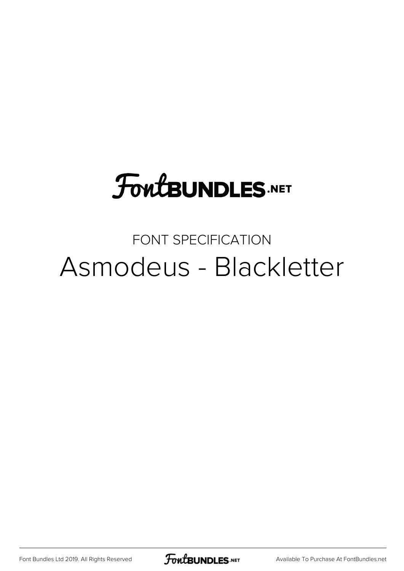# **FoutBUNDLES.NET**

# FONT SPECIFICATION Asmodeus - Blackletter

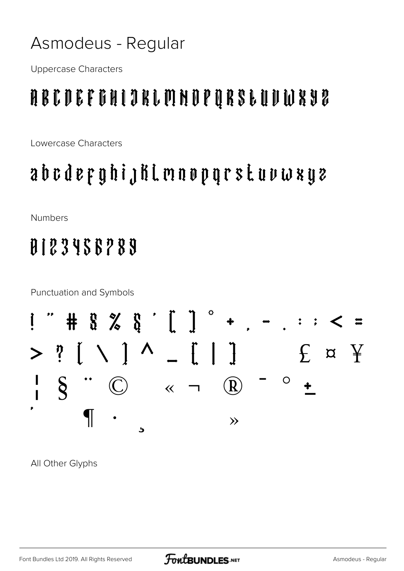#### Asmodeus - Regular

**Uppercase Characters** 

#### N B C D E F G N I D R L M N D P Q R S L U D W R Y 2

Lowercase Characters

### abodepghi j KL mnopgrskuvwxyz

Numbers

## 0003456289

**Punctuation and Symbols** 



All Other Glyphs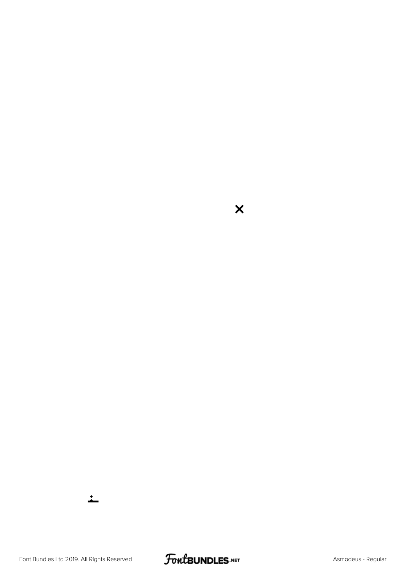$\cdot$ 



 $\bm{x}$